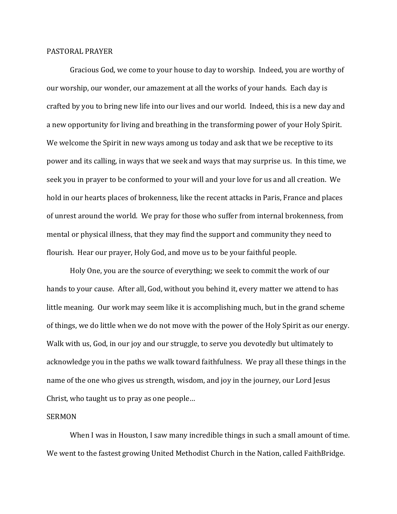## PASTORAL PRAYER

Gracious God, we come to your house to day to worship. Indeed, you are worthy of our worship, our wonder, our amazement at all the works of your hands. Each day is crafted by you to bring new life into our lives and our world. Indeed, this is a new day and a new opportunity for living and breathing in the transforming power of your Holy Spirit. We welcome the Spirit in new ways among us today and ask that we be receptive to its power and its calling, in ways that we seek and ways that may surprise us. In this time, we seek you in prayer to be conformed to your will and your love for us and all creation. We hold in our hearts places of brokenness, like the recent attacks in Paris, France and places of unrest around the world. We pray for those who suffer from internal brokenness, from mental or physical illness, that they may find the support and community they need to flourish. Hear our prayer, Holy God, and move us to be your faithful people.

Holy One, you are the source of everything; we seek to commit the work of our hands to your cause. After all, God, without you behind it, every matter we attend to has little meaning. Our work may seem like it is accomplishing much, but in the grand scheme of things, we do little when we do not move with the power of the Holy Spirit as our energy. Walk with us, God, in our joy and our struggle, to serve you devotedly but ultimately to acknowledge you in the paths we walk toward faithfulness. We pray all these things in the name of the one who gives us strength, wisdom, and joy in the journey, our Lord Jesus Christ, who taught us to pray as one people…

## SERMON

When I was in Houston, I saw many incredible things in such a small amount of time. We went to the fastest growing United Methodist Church in the Nation, called FaithBridge.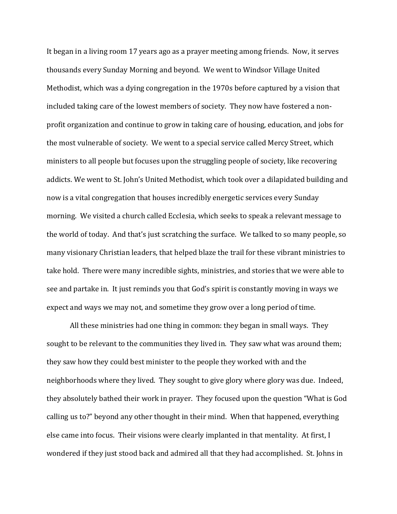It began in a living room 17 years ago as a prayer meeting among friends. Now, it serves thousands every Sunday Morning and beyond. We went to Windsor Village United Methodist, which was a dying congregation in the 1970s before captured by a vision that included taking care of the lowest members of society. They now have fostered a nonprofit organization and continue to grow in taking care of housing, education, and jobs for the most vulnerable of society. We went to a special service called Mercy Street, which ministers to all people but focuses upon the struggling people of society, like recovering addicts. We went to St. John's United Methodist, which took over a dilapidated building and now is a vital congregation that houses incredibly energetic services every Sunday morning. We visited a church called Ecclesia, which seeks to speak a relevant message to the world of today. And that's just scratching the surface. We talked to so many people, so many visionary Christian leaders, that helped blaze the trail for these vibrant ministries to take hold. There were many incredible sights, ministries, and stories that we were able to see and partake in. It just reminds you that God's spirit is constantly moving in ways we expect and ways we may not, and sometime they grow over a long period of time.

All these ministries had one thing in common: they began in small ways. They sought to be relevant to the communities they lived in. They saw what was around them; they saw how they could best minister to the people they worked with and the neighborhoods where they lived. They sought to give glory where glory was due. Indeed, they absolutely bathed their work in prayer. They focused upon the question "What is God calling us to?" beyond any other thought in their mind. When that happened, everything else came into focus. Their visions were clearly implanted in that mentality. At first, I wondered if they just stood back and admired all that they had accomplished. St. Johns in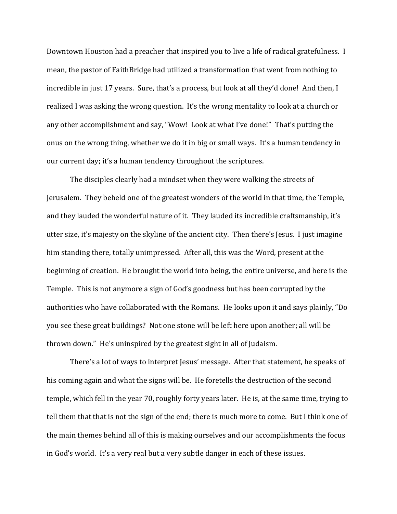Downtown Houston had a preacher that inspired you to live a life of radical gratefulness. I mean, the pastor of FaithBridge had utilized a transformation that went from nothing to incredible in just 17 years. Sure, that's a process, but look at all they'd done! And then, I realized I was asking the wrong question. It's the wrong mentality to look at a church or any other accomplishment and say, "Wow! Look at what I've done!" That's putting the onus on the wrong thing, whether we do it in big or small ways. It's a human tendency in our current day; it's a human tendency throughout the scriptures.

The disciples clearly had a mindset when they were walking the streets of Jerusalem. They beheld one of the greatest wonders of the world in that time, the Temple, and they lauded the wonderful nature of it. They lauded its incredible craftsmanship, it's utter size, it's majesty on the skyline of the ancient city. Then there's Jesus. I just imagine him standing there, totally unimpressed. After all, this was the Word, present at the beginning of creation. He brought the world into being, the entire universe, and here is the Temple. This is not anymore a sign of God's goodness but has been corrupted by the authorities who have collaborated with the Romans. He looks upon it and says plainly, "Do you see these great buildings? Not one stone will be left here upon another; all will be thrown down." He's uninspired by the greatest sight in all of Judaism.

There's a lot of ways to interpret Jesus' message. After that statement, he speaks of his coming again and what the signs will be. He foretells the destruction of the second temple, which fell in the year 70, roughly forty years later. He is, at the same time, trying to tell them that that is not the sign of the end; there is much more to come. But I think one of the main themes behind all of this is making ourselves and our accomplishments the focus in God's world. It's a very real but a very subtle danger in each of these issues.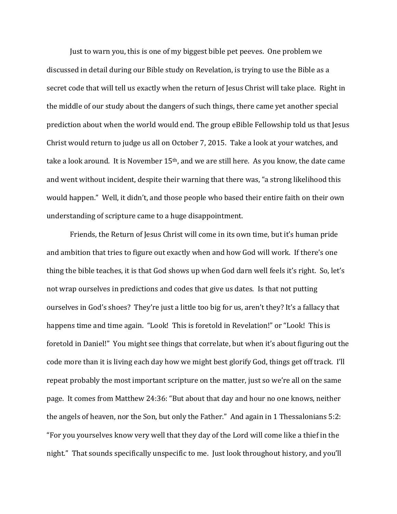Just to warn you, this is one of my biggest bible pet peeves. One problem we discussed in detail during our Bible study on Revelation, is trying to use the Bible as a secret code that will tell us exactly when the return of Jesus Christ will take place. Right in the middle of our study about the dangers of such things, there came yet another special prediction about when the world would end. The group eBible Fellowship told us that Jesus Christ would return to judge us all on October 7, 2015. Take a look at your watches, and take a look around. It is November 15<sup>th</sup>, and we are still here. As you know, the date came and went without incident, despite their warning that there was, "a strong likelihood this would happen." Well, it didn't, and those people who based their entire faith on their own understanding of scripture came to a huge disappointment.

Friends, the Return of Jesus Christ will come in its own time, but it's human pride and ambition that tries to figure out exactly when and how God will work. If there's one thing the bible teaches, it is that God shows up when God darn well feels it's right. So, let's not wrap ourselves in predictions and codes that give us dates. Is that not putting ourselves in God's shoes? They're just a little too big for us, aren't they? It's a fallacy that happens time and time again. "Look! This is foretold in Revelation!" or "Look! This is foretold in Daniel!" You might see things that correlate, but when it's about figuring out the code more than it is living each day how we might best glorify God, things get off track. I'll repeat probably the most important scripture on the matter, just so we're all on the same page. It comes from Matthew 24:36: "But about that day and hour no one knows, neither the angels of heaven, nor the Son, but only the Father." And again in 1 Thessalonians 5:2: "For you yourselves know very well that they day of the Lord will come like a thief in the night." That sounds specifically unspecific to me. Just look throughout history, and you'll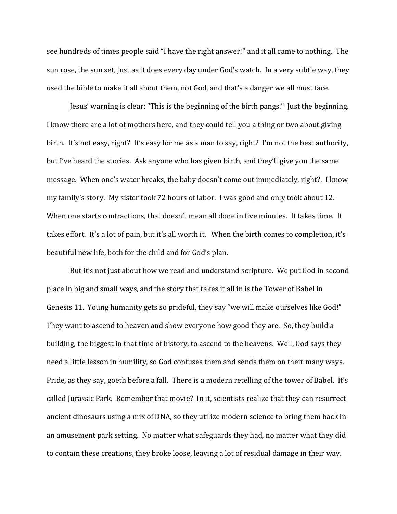see hundreds of times people said "I have the right answer!" and it all came to nothing. The sun rose, the sun set, just as it does every day under God's watch. In a very subtle way, they used the bible to make it all about them, not God, and that's a danger we all must face.

Jesus' warning is clear: "This is the beginning of the birth pangs." Just the beginning. I know there are a lot of mothers here, and they could tell you a thing or two about giving birth. It's not easy, right? It's easy for me as a man to say, right? I'm not the best authority, but I've heard the stories. Ask anyone who has given birth, and they'll give you the same message. When one's water breaks, the baby doesn't come out immediately, right?. I know my family's story. My sister took 72 hours of labor. I was good and only took about 12. When one starts contractions, that doesn't mean all done in five minutes. It takes time. It takes effort. It's a lot of pain, but it's all worth it. When the birth comes to completion, it's beautiful new life, both for the child and for God's plan.

But it's not just about how we read and understand scripture. We put God in second place in big and small ways, and the story that takes it all in is the Tower of Babel in Genesis 11. Young humanity gets so prideful, they say "we will make ourselves like God!" They want to ascend to heaven and show everyone how good they are. So, they build a building, the biggest in that time of history, to ascend to the heavens. Well, God says they need a little lesson in humility, so God confuses them and sends them on their many ways. Pride, as they say, goeth before a fall. There is a modern retelling of the tower of Babel. It's called Jurassic Park. Remember that movie? In it, scientists realize that they can resurrect ancient dinosaurs using a mix of DNA, so they utilize modern science to bring them back in an amusement park setting. No matter what safeguards they had, no matter what they did to contain these creations, they broke loose, leaving a lot of residual damage in their way.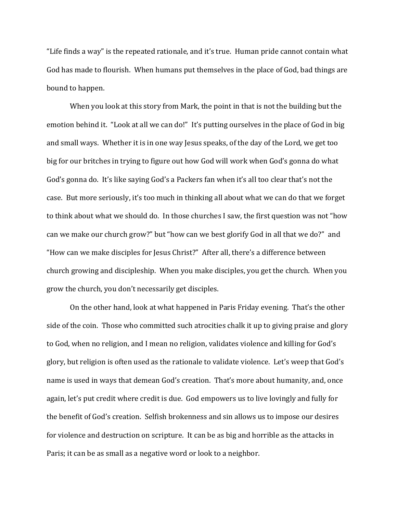"Life finds a way" is the repeated rationale, and it's true. Human pride cannot contain what God has made to flourish. When humans put themselves in the place of God, bad things are bound to happen.

When you look at this story from Mark, the point in that is not the building but the emotion behind it. "Look at all we can do!" It's putting ourselves in the place of God in big and small ways. Whether it is in one way Jesus speaks, of the day of the Lord, we get too big for our britches in trying to figure out how God will work when God's gonna do what God's gonna do. It's like saying God's a Packers fan when it's all too clear that's not the case. But more seriously, it's too much in thinking all about what we can do that we forget to think about what we should do. In those churches I saw, the first question was not "how can we make our church grow?" but "how can we best glorify God in all that we do?" and "How can we make disciples for Jesus Christ?" After all, there's a difference between church growing and discipleship. When you make disciples, you get the church. When you grow the church, you don't necessarily get disciples.

On the other hand, look at what happened in Paris Friday evening. That's the other side of the coin. Those who committed such atrocities chalk it up to giving praise and glory to God, when no religion, and I mean no religion, validates violence and killing for God's glory, but religion is often used as the rationale to validate violence. Let's weep that God's name is used in ways that demean God's creation. That's more about humanity, and, once again, let's put credit where credit is due. God empowers us to live lovingly and fully for the benefit of God's creation. Selfish brokenness and sin allows us to impose our desires for violence and destruction on scripture. It can be as big and horrible as the attacks in Paris; it can be as small as a negative word or look to a neighbor.